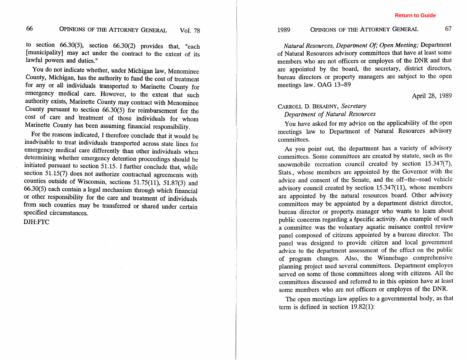### 66

to section 66.30(5), section 66.30(2) provides that, "each [municipality] may act under the contract to the extent of its lawful powers and duties."

You do not indicate whether, under Michigan law, Menominee County, Michigan, has the authority to fund the cost of treatment for any or all individuals transported to Marinette County for emergency medical care. However, to the extent that such authority exists, Marinette County may contract with Menominee County pursuant to section 66.30(5) for reimbursement for the cost of care and treatment of those individuals for whom Marinette County has been assuming financial responsibility.

For the reasons indicated, I therefore conclude that it would be inadvisable to treat individuals transported across state lines for emergency medical care differently than other individuals when determining whether emergency detention proceedings should be initiated pursuant to section 51.15. **1** further conclude that, while section 51.15(7) does not authorize contractual agreements with counties outside of Wisconsin, sections  $51.75(11)$ ,  $51.87(3)$  and 66.30(5) each contain a legal mechanism through which financial or other responsibility for the care and treatment of individuals from such counties may be transferred or shared under certain specified circumstances.

### **DJH:rnC**

# 1989 OPINIONS OF THE ATTORNEY GENERAL 67

*Natural Resources, Deparment* **Of;** *Open Meeting;* Department of Natural Resources advisory committees that have at least some members who are not officers or employes of the DNR and that are appointed by the board, the secretary, district directors, bureau directors or property managers are subject to the open meetings law. OAG 13-89

### April 28, 1989

# **CARROLL** *D.* **BESADNY,** *Secretary Department of Natural Resources*

You have asked for my advice on the applicability of the open meetings law to Department of Natural Resources advisory committees.

As you point out, the department has a variety of advisory committees. Some committees are created by statute, such as the snowmobile recreation council created by section 15.347(7), Stats., whose members are appointed by the Governor with the advice and consent of the Senate, and the off-the-road vehicle advisory council created by section 15.347(11), whose members are appointed by the natural resources board. Other advisory committees may be appointed by a department district director, bureau director or property. manager who wants to learn about public concerns regarding a Specific activity. **An** example of such a committee was the voluntary aquatic nuisance control review panel composed of citizens appointed by a bureau director. The panel was designed to provide citizen and local government advice to the department assessment of the effect on the public of program changes. **Also,** the Winnebago comprehensive planning project used several committees. Department employes served on some of those committees along with citizens. All the committees discussed and referred to in this opinion have at least some members who are not officers or employes of the DNR.

The open meetings law applies to a governmental body, as that term is defined in section 19.82(1):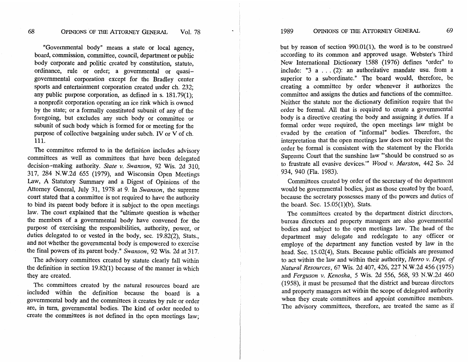"Governmental body" means a state or local agency, board, commission, committee, council, department or public body corporate and politic created by constitution, statute, ordinance, rule or order; a governmental or quasigovernmental corporation except for the Bradley center sports and entertainment corporation created under ch. 232; any public purpose corporation, as defined in s.  $181.79(1)$ ; a nonprofit corporation operating an ice rink which is owned by the state; or a formally constituted subunit of any of the foregoing, but excludes any such body or committee or subunit of such body which is formed for or meeting for the purpose of collective bargaining under subch. IV or V of ch. 111.

The committee referred to in the definition includes advisory committees as well as committees that have been delegated decision-making authority. State **v.** Swanson, 92 Wis. 2d 310, 317, 284 N.W.2d 655 (1979), and Wisconsin Open Meetings Law, **A** Statutory Summary and a Digest of Opinions of the Attorney General, July 31, 1978 at 9. In Swanson, the supreme court stated that a committee is not required to have the authority to bind its parent body before it is subject to the open meetings law. The court explained that the "ultimate question is whether the members of a governmental body have convened for the purpose of exercising the responsibilities, authority, power, or duties delegated to or vested in the body, sec. 19.82(2), Stats., and not whether the governmental body is empowered to exercise the final powers of its parent body." Swanson, 92 Wis. 2d at 317.

The advisory committees created by statute clearly fall within the definition in section 19.82(1) because of the manner in which they are created.

The committees created by the natural resources board are included within the definition because the board is a governmental body and the committees it creates by rule or order are, **in turn,** governmental bodies. The kind of order needed to create the committees is not defined in the open meetings law;

69

but by reason of section 990.01(1), the word is to be construed according to its common and approved usage. Webster's Third New International Dictionary 1588 (1976) defines "order" to include: **"3** a . . . (2): an authoritative mandate usu. from a superior to a subordinate." The board would, therefore, be creating a committee by order whenever it authorizes the committee and assigns the duties and functions of the committee. Neither the statute nor the dictionary definition require that the order be formal. All that is required to create a governmental body is a directive creating the body and assigning it duties. If a formal order were required, the open meetings law might be evaded by the creation of "informal" bodies. Therefore, the interpretation that the open meetings law does not require that the order be formal is consistent with the statement by the Florida Supreme Court that the sunshine law "'should be construed so as to frustrate all evasive devices."' Wood **v.** Marston, 442 So. 2d 934, 940 (Fla. 1983).

Committees created by order of the secretary of the department would be governmental bodies, just as those created by the board, because the secretary possesses many of the powers and duties of the board. Sec. 15.05(1)(b), Stats.

The committees created by the department district directors, bureau directors and property managers are also governmental bodies and subject to the open meetings law. The head of the department may delegate and redelegate to any officer or employe of the department any function vested by law in the head. Sec. 15.02(4), Stats. Because public officials are presumed to act within the law and within their authority, Herro **v.** Dept. of Natural Resources, 67 Wis. 2d 407, 426, 227 N.W.2d 456 (1975) and Ferguson **v.** Kenosha, 5 Wis. 2d 556, 568, 93 N.W.2d 460 (1958), it must be presumed that the district and bureau directors and property managers act within the scope of delegated authority when they create committees and appoint committee members. The advisory committees, therefore, are treated the same as if